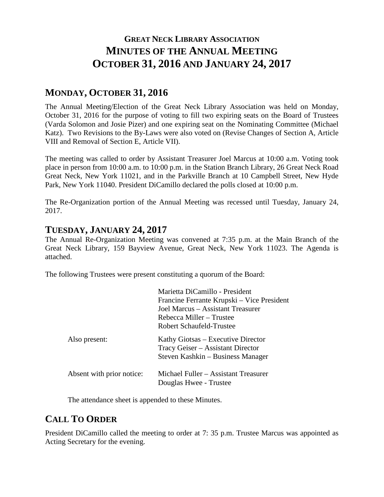# **GREAT NECK LIBRARY ASSOCIATION MINUTES OF THE ANNUAL MEETING OCTOBER 31, 2016 AND JANUARY 24, 2017**

# **MONDAY, OCTOBER 31, 2016**

The Annual Meeting/Election of the Great Neck Library Association was held on Monday, October 31, 2016 for the purpose of voting to fill two expiring seats on the Board of Trustees (Varda Solomon and Josie Pizer) and one expiring seat on the Nominating Committee (Michael Katz). Two Revisions to the By-Laws were also voted on (Revise Changes of Section A, Article VIII and Removal of Section E, Article VII).

The meeting was called to order by Assistant Treasurer Joel Marcus at 10:00 a.m. Voting took place in person from 10:00 a.m. to 10:00 p.m. in the Station Branch Library, 26 Great Neck Road Great Neck, New York 11021, and in the Parkville Branch at 10 Campbell Street, New Hyde Park, New York 11040. President DiCamillo declared the polls closed at 10:00 p.m.

The Re-Organization portion of the Annual Meeting was recessed until Tuesday, January 24, 2017.

## **TUESDAY, JANUARY 24, 2017**

The Annual Re-Organization Meeting was convened at 7:35 p.m. at the Main Branch of the Great Neck Library, 159 Bayview Avenue, Great Neck, New York 11023. The Agenda is attached.

The following Trustees were present constituting a quorum of the Board:

|                           | Marietta DiCamillo - President             |
|---------------------------|--------------------------------------------|
|                           | Francine Ferrante Krupski – Vice President |
|                           | Joel Marcus - Assistant Treasurer          |
|                           | Rebecca Miller – Trustee                   |
|                           | Robert Schaufeld-Trustee                   |
| Also present:             | Kathy Giotsas – Executive Director         |
|                           | Tracy Geiser – Assistant Director          |
|                           | Steven Kashkin – Business Manager          |
| Absent with prior notice: | Michael Fuller – Assistant Treasurer       |
|                           | Douglas Hwee - Trustee                     |

The attendance sheet is appended to these Minutes.

# **CALL TO ORDER**

President DiCamillo called the meeting to order at 7: 35 p.m. Trustee Marcus was appointed as Acting Secretary for the evening.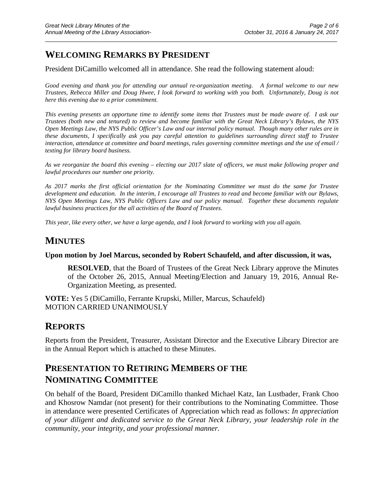# **WELCOMING REMARKS BY PRESIDENT**

President DiCamillo welcomed all in attendance. She read the following statement aloud:

*Good evening and thank you for attending our annual re-organization meeting. A formal welcome to our new Trustees, Rebecca Miller and Doug Hwee, I look forward to working with you both. Unfortunately, Doug is not here this evening due to a prior commitment.* 

 $\_$  ,  $\_$  ,  $\_$  ,  $\_$  ,  $\_$  ,  $\_$  ,  $\_$  ,  $\_$  ,  $\_$  ,  $\_$  ,  $\_$  ,  $\_$  ,  $\_$  ,  $\_$  ,  $\_$  ,  $\_$  ,  $\_$  ,  $\_$  ,  $\_$  ,  $\_$  ,  $\_$  ,  $\_$  ,  $\_$  ,  $\_$  ,  $\_$  ,  $\_$  ,  $\_$  ,  $\_$  ,  $\_$  ,  $\_$  ,  $\_$  ,  $\_$  ,  $\_$  ,  $\_$  ,  $\_$  ,  $\_$  ,  $\_$  ,

*This evening presents an opportune time to identify some items that Trustees must be made aware of. I ask our Trustees (both new and tenured) to review and become familiar with the Great Neck Library's Bylaws, the NYS Open Meetings Law, the NYS Public Officer's Law and our internal policy manual. Though many other rules are in these documents, I specifically ask you pay careful attention to guidelines surrounding direct staff to Trustee interaction, attendance at committee and board meetings, rules governing committee meetings and the use of email / texting for library board business.* 

*As we reorganize the board this evening – electing our 2017 slate of officers, we must make following proper and lawful procedures our number one priority.*

*As 2017 marks the first official orientation for the Nominating Committee we must do the same for Trustee development and education. In the interim, I encourage all Trustees to read and become familiar with our Bylaws, NYS Open Meetings Law, NYS Public Officers Law and our policy manual. Together these documents regulate lawful business practices for the all activities of the Board of Trustees.* 

*This year, like every other, we have a large agenda, and I look forward to working with you all again.* 

## **MINUTES**

#### **Upon motion by Joel Marcus, seconded by Robert Schaufeld, and after discussion, it was,**

**RESOLVED**, that the Board of Trustees of the Great Neck Library approve the Minutes of the October 26, 2015, Annual Meeting/Election and January 19, 2016, Annual Re-Organization Meeting, as presented.

**VOTE:** Yes 5 (DiCamillo, Ferrante Krupski, Miller, Marcus, Schaufeld) MOTION CARRIED UNANIMOUSLY

## **REPORTS**

Reports from the President, Treasurer, Assistant Director and the Executive Library Director are in the Annual Report which is attached to these Minutes.

# **PRESENTATION TO RETIRING MEMBERS OF THE NOMINATING COMMITTEE**

On behalf of the Board, President DiCamillo thanked Michael Katz, Ian Lustbader, Frank Choo and Khosrow Namdar (not present) for their contributions to the Nominating Committee. Those in attendance were presented Certificates of Appreciation which read as follows: *In appreciation of your diligent and dedicated service to the Great Neck Library, your leadership role in the community, your integrity, and your professional manner.*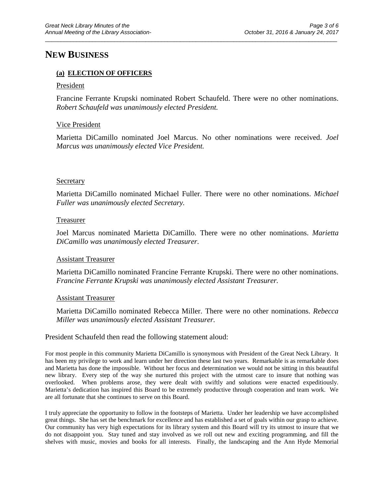## **NEW BUSINESS**

### **(a) ELECTION OF OFFICERS**

#### President

Francine Ferrante Krupski nominated Robert Schaufeld. There were no other nominations. *Robert Schaufeld was unanimously elected President.*

 $\_$  ,  $\_$  ,  $\_$  ,  $\_$  ,  $\_$  ,  $\_$  ,  $\_$  ,  $\_$  ,  $\_$  ,  $\_$  ,  $\_$  ,  $\_$  ,  $\_$  ,  $\_$  ,  $\_$  ,  $\_$  ,  $\_$  ,  $\_$  ,  $\_$  ,  $\_$  ,  $\_$  ,  $\_$  ,  $\_$  ,  $\_$  ,  $\_$  ,  $\_$  ,  $\_$  ,  $\_$  ,  $\_$  ,  $\_$  ,  $\_$  ,  $\_$  ,  $\_$  ,  $\_$  ,  $\_$  ,  $\_$  ,  $\_$  ,

### Vice President

Marietta DiCamillo nominated Joel Marcus. No other nominations were received. *Joel Marcus was unanimously elected Vice President.*

#### **Secretary**

Marietta DiCamillo nominated Michael Fuller. There were no other nominations. *Michael Fuller was unanimously elected Secretary.*

#### Treasurer

Joel Marcus nominated Marietta DiCamillo. There were no other nominations. *Marietta DiCamillo was unanimously elected Treasurer*.

#### Assistant Treasurer

Marietta DiCamillo nominated Francine Ferrante Krupski. There were no other nominations. *Francine Ferrante Krupski was unanimously elected Assistant Treasurer.*

#### Assistant Treasurer

Marietta DiCamillo nominated Rebecca Miller. There were no other nominations. *Rebecca Miller was unanimously elected Assistant Treasurer.*

#### President Schaufeld then read the following statement aloud:

For most people in this community Marietta DiCamillo is synonymous with President of the Great Neck Library. It has been my privilege to work and learn under her direction these last two years. Remarkable is as remarkable does and Marietta has done the impossible. Without her focus and determination we would not be sitting in this beautiful new library. Every step of the way she nurtured this project with the utmost care to insure that nothing was overlooked. When problems arose, they were dealt with swiftly and solutions were enacted expeditiously. Marietta's dedication has inspired this Board to be extremely productive through cooperation and team work. We are all fortunate that she continues to serve on this Board.

I truly appreciate the opportunity to follow in the footsteps of Marietta. Under her leadership we have accomplished great things. She has set the benchmark for excellence and has established a set of goals within our grasp to achieve. Our community has very high expectations for its library system and this Board will try its utmost to insure that we do not disappoint you. Stay tuned and stay involved as we roll out new and exciting programming, and fill the shelves with music, movies and books for all interests. Finally, the landscaping and the Ann Hyde Memorial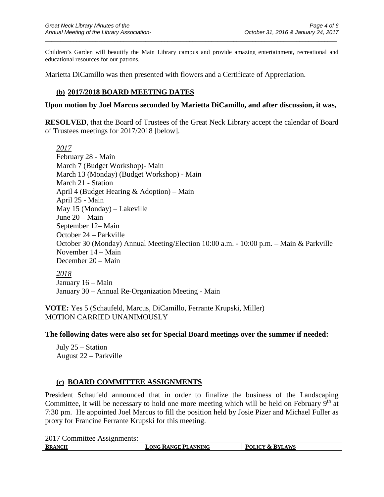Children's Garden will beautify the Main Library campus and provide amazing entertainment, recreational and educational resources for our patrons.

 $\_$  ,  $\_$  ,  $\_$  ,  $\_$  ,  $\_$  ,  $\_$  ,  $\_$  ,  $\_$  ,  $\_$  ,  $\_$  ,  $\_$  ,  $\_$  ,  $\_$  ,  $\_$  ,  $\_$  ,  $\_$  ,  $\_$  ,  $\_$  ,  $\_$  ,  $\_$  ,  $\_$  ,  $\_$  ,  $\_$  ,  $\_$  ,  $\_$  ,  $\_$  ,  $\_$  ,  $\_$  ,  $\_$  ,  $\_$  ,  $\_$  ,  $\_$  ,  $\_$  ,  $\_$  ,  $\_$  ,  $\_$  ,  $\_$  ,

Marietta DiCamillo was then presented with flowers and a Certificate of Appreciation.

## **(b) 2017/2018 BOARD MEETING DATES**

### **Upon motion by Joel Marcus seconded by Marietta DiCamillo, and after discussion, it was,**

**RESOLVED**, that the Board of Trustees of the Great Neck Library accept the calendar of Board of Trustees meetings for 2017/2018 [below].

*2017* February 28 - Main March 7 (Budget Workshop)- Main March 13 (Monday) (Budget Workshop) - Main March 21 - Station April 4 (Budget Hearing & Adoption) – Main April 25 - Main May 15 (Monday) – Lakeville June 20 – Main September 12– Main October 24 – Parkville October 30 (Monday) Annual Meeting/Election 10:00 a.m. - 10:00 p.m. – Main & Parkville November 14 – Main December 20 – Main

*2018* January 16 – Main January 30 – Annual Re-Organization Meeting - Main

**VOTE:** Yes 5 (Schaufeld, Marcus, DiCamillo, Ferrante Krupski, Miller) MOTION CARRIED UNANIMOUSLY

### **The following dates were also set for Special Board meetings over the summer if needed:**

July 25 – Station August 22 – Parkville

## **(c) BOARD COMMITTEE ASSIGNMENTS**

President Schaufeld announced that in order to finalize the business of the Landscaping Committee, it will be necessary to hold one more meeting which will be held on February  $9<sup>th</sup>$  at 7:30 pm. He appointed Joel Marcus to fill the position held by Josie Pizer and Michael Fuller as proxy for Francine Ferrante Krupski for this meeting.

2017 Committee Assignments:

| <b>LONG RANGE PLANNING</b><br><b>BRANCH</b><br>POLICY & BYLAWS |  |  |
|----------------------------------------------------------------|--|--|
|                                                                |  |  |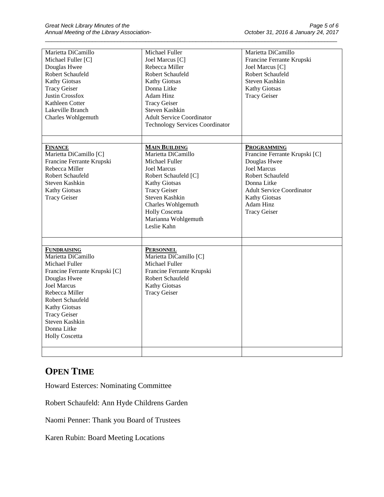| Marietta DiCamillo            | Michael Fuller                         | Marietta DiCamillo               |
|-------------------------------|----------------------------------------|----------------------------------|
| Michael Fuller [C]            | Joel Marcus [C]                        | Francine Ferrante Krupski        |
| Douglas Hwee                  | Rebecca Miller                         | Joel Marcus [C]                  |
| Robert Schaufeld              | Robert Schaufeld                       | Robert Schaufeld                 |
| <b>Kathy Giotsas</b>          | <b>Kathy Giotsas</b>                   | Steven Kashkin                   |
| <b>Tracy Geiser</b>           | Donna Litke                            | <b>Kathy Giotsas</b>             |
| <b>Justin Crossfox</b>        | Adam Hinz                              | <b>Tracy Geiser</b>              |
| Kathleen Cotter               | <b>Tracy Geiser</b>                    |                                  |
| Lakeville Branch              | Steven Kashkin                         |                                  |
| Charles Wohlgemuth            | <b>Adult Service Coordinator</b>       |                                  |
|                               | <b>Technology Services Coordinator</b> |                                  |
|                               |                                        |                                  |
|                               |                                        |                                  |
| <b>FINANCE</b>                | <b>MAIN BUILDING</b>                   | <b>PROGRAMMING</b>               |
| Marietta DiCamillo [C]        | Marietta DiCamillo                     | Francine Ferrante Krupski [C]    |
| Francine Ferrante Krupski     | Michael Fuller                         | Douglas Hwee                     |
| Rebecca Miller                | <b>Joel Marcus</b>                     | <b>Joel Marcus</b>               |
| Robert Schaufeld              | Robert Schaufeld [C]                   | Robert Schaufeld                 |
| Steven Kashkin                | <b>Kathy Giotsas</b>                   | Donna Litke                      |
| <b>Kathy Giotsas</b>          | <b>Tracy Geiser</b>                    | <b>Adult Service Coordinator</b> |
| <b>Tracy Geiser</b>           | Steven Kashkin                         | <b>Kathy Giotsas</b>             |
|                               | Charles Wohlgemuth                     | Adam Hinz                        |
|                               | <b>Holly Coscetta</b>                  | <b>Tracy Geiser</b>              |
|                               | Marianna Wohlgemuth                    |                                  |
|                               | Leslie Kahn                            |                                  |
|                               |                                        |                                  |
|                               |                                        |                                  |
| FUNDRAISING                   | <b>PERSONNEL</b>                       |                                  |
| Marietta DiCamillo            | Marietta DiCamillo [C]                 |                                  |
| Michael Fuller                | Michael Fuller                         |                                  |
| Francine Ferrante Krupski [C] | Francine Ferrante Krupski              |                                  |
| Douglas Hwee                  | Robert Schaufeld                       |                                  |
| <b>Joel Marcus</b>            | <b>Kathy Giotsas</b>                   |                                  |
| Rebecca Miller                | <b>Tracy Geiser</b>                    |                                  |
| Robert Schaufeld              |                                        |                                  |
| <b>Kathy Giotsas</b>          |                                        |                                  |
| <b>Tracy Geiser</b>           |                                        |                                  |
| <b>Steven Kashkin</b>         |                                        |                                  |
| Donna Litke                   |                                        |                                  |
| <b>Holly Coscetta</b>         |                                        |                                  |
|                               |                                        |                                  |
|                               |                                        |                                  |
|                               |                                        |                                  |

 $\_$  ,  $\_$  ,  $\_$  ,  $\_$  ,  $\_$  ,  $\_$  ,  $\_$  ,  $\_$  ,  $\_$  ,  $\_$  ,  $\_$  ,  $\_$  ,  $\_$  ,  $\_$  ,  $\_$  ,  $\_$  ,  $\_$  ,  $\_$  ,  $\_$  ,  $\_$  ,  $\_$  ,  $\_$  ,  $\_$  ,  $\_$  ,  $\_$  ,  $\_$  ,  $\_$  ,  $\_$  ,  $\_$  ,  $\_$  ,  $\_$  ,  $\_$  ,  $\_$  ,  $\_$  ,  $\_$  ,  $\_$  ,  $\_$  ,

# **OPEN TIME**

Howard Esterces: Nominating Committee

Robert Schaufeld: Ann Hyde Childrens Garden

Naomi Penner: Thank you Board of Trustees

Karen Rubin: Board Meeting Locations